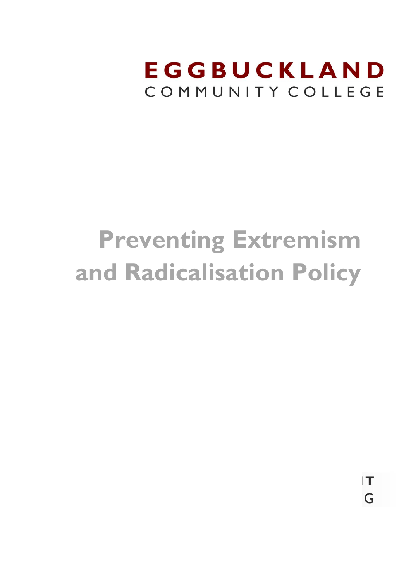

 $\top$ 

G

# **Preventing Extremism and Radicalisation Policy**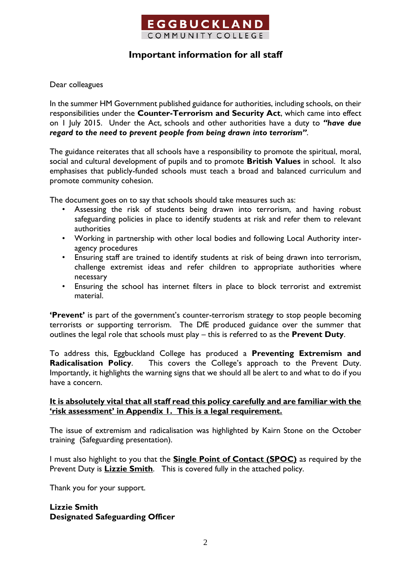

## **Important information for all staff**

Dear colleagues

In the summer HM Government published guidance for authorities, including schools, on their responsibilities under the **Counter-Terrorism and Security Act**, which came into effect on 1 July 2015. Under the Act, schools and other authorities have a duty to *"have due regard to the need to prevent people from being drawn into terrorism"*.

The guidance reiterates that all schools have a responsibility to promote the spiritual, moral, social and cultural development of pupils and to promote **British Values** in school. It also emphasises that publicly-funded schools must teach a broad and balanced curriculum and promote community cohesion.

The document goes on to say that schools should take measures such as:

- Assessing the risk of students being drawn into terrorism, and having robust safeguarding policies in place to identify students at risk and refer them to relevant authorities
- Working in partnership with other local bodies and following Local Authority interagency procedures
- Ensuring staff are trained to identify students at risk of being drawn into terrorism, challenge extremist ideas and refer children to appropriate authorities where necessary
- Ensuring the school has internet filters in place to block terrorist and extremist material.

**'Prevent'** is part of the government's counter-terrorism strategy to stop people becoming terrorists or supporting terrorism. The DfE produced guidance over the summer that outlines the legal role that schools must play – this is referred to as the **Prevent Duty**.

To address this, Eggbuckland College has produced a **Preventing Extremism and Radicalisation Policy**. This covers the College's approach to the Prevent Duty. Importantly, it highlights the warning signs that we should all be alert to and what to do if you have a concern.

#### **It is absolutely vital that all staff read this policy carefully and are familiar with the 'risk assessment' in Appendix 1. This is a legal requirement.**

The issue of extremism and radicalisation was highlighted by Kairn Stone on the October training (Safeguarding presentation).

I must also highlight to you that the **Single Point of Contact (SPOC)** as required by the Prevent Duty is **Lizzie Smith**. This is covered fully in the attached policy.

Thank you for your support.

#### **Lizzie Smith Designated Safeguarding Officer**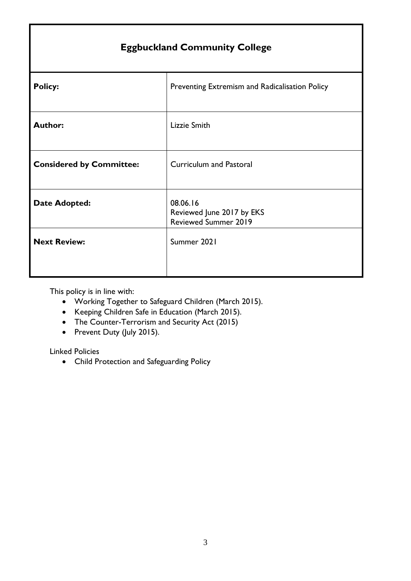| <b>Eggbuckland Community College</b> |                                                                      |  |
|--------------------------------------|----------------------------------------------------------------------|--|
| <b>Policy:</b>                       | Preventing Extremism and Radicalisation Policy                       |  |
| <b>Author:</b>                       | Lizzie Smith                                                         |  |
| <b>Considered by Committee:</b>      | <b>Curriculum and Pastoral</b>                                       |  |
| <b>Date Adopted:</b>                 | 08.06.16<br>Reviewed June 2017 by EKS<br><b>Reviewed Summer 2019</b> |  |
| <b>Next Review:</b>                  | Summer 2021                                                          |  |

This policy is in line with:

- Working Together to Safeguard Children (March 2015).
- Keeping Children Safe in Education (March 2015).
- The Counter-Terrorism and Security Act (2015)
- Prevent Duty (July 2015).

Linked Policies

Child Protection and Safeguarding Policy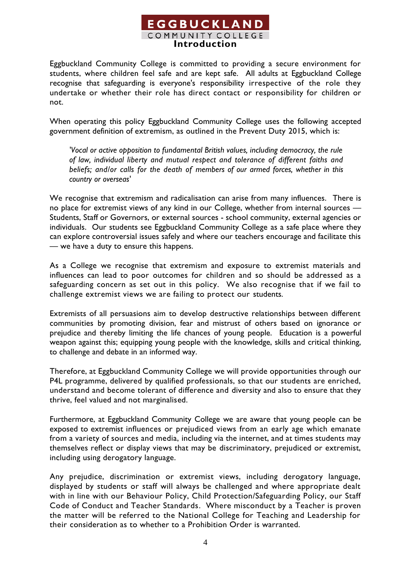## **EGGBUCKLAND** COMMUNITY COLLEGE **Introduction**

Eggbuckland Community College is committed to providing a secure environment for students, where children feel safe and are kept safe. All adults at Eggbuckland College recognise that safeguarding is everyone's responsibility irrespective of the role they undertake or whether their role has direct contact or responsibility for children or not.

When operating this policy Eggbuckland Community College uses the following accepted government definition of extremism, as outlined in the Prevent Duty 2015, which is:

*'Vocal or active opposition to fundamental British values, including democracy, the rule of law, individual liberty and mutual respect and tolerance of different faiths and beliefs; and/or calls for the death of members of our armed forces, whether in this country or overseas'*

We recognise that extremism and radicalisation can arise from many influences. There is no place for extremist views of any kind in our College, whether from internal sources -Students, Staff or Governors, or external sources - school community, external agencies or individuals. Our students see Eggbuckland Community College as a safe place where they can explore controversial issues safely and where our teachers encourage and facilitate this — we have a duty to ensure this happens.

As a College we recognise that extremism and exposure to extremist materials and influences can lead to poor outcomes for children and so should be addressed as a safeguarding concern as set out in this policy. We also recognise that if we fail to challenge extremist views we are failing to protect our students.

Extremists of all persuasions aim to develop destructive relationships between different communities by promoting division, fear and mistrust of others based on ignorance or prejudice and thereby limiting the life chances of young people. Education is a powerful weapon against this; equipping young people with the knowledge, skills and critical thinking, to challenge and debate in an informed way.

Therefore, at Eggbuckland Community College we will provide opportunities through our P4L programme, delivered by qualified professionals, so that our students are enriched, understand and become tolerant of difference and diversity and also to ensure that they thrive, feel valued and not marginalised.

Furthermore, at Eggbuckland Community College we are aware that young people can be exposed to extremist influences or prejudiced views from an early age which emanate from a variety of sources and media, including via the internet, and at times students may themselves reflect or display views that may be discriminatory, prejudiced or extremist, including using derogatory language.

Any prejudice, discrimination or extremist views, including derogatory language, displayed by students or staff will always be challenged and where appropriate dealt with in line with our Behaviour Policy, Child Protection/Safeguarding Policy, our Staff Code of Conduct and Teacher Standards. Where misconduct by a Teacher is proven the matter will be referred to the National College for Teaching and Leadership for their consideration as to whether to a Prohibition Order is warranted.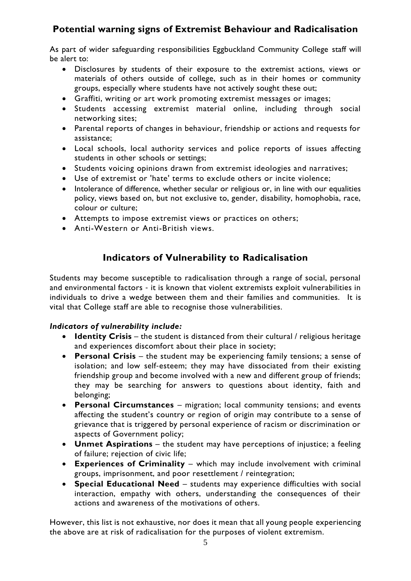# **Potential warning signs of Extremist Behaviour and Radicalisation**

As part of wider safeguarding responsibilities Eggbuckland Community College staff will be alert to:

- Disclosures by students of their exposure to the extremist actions, views or materials of others outside of college, such as in their homes or community groups, especially where students have not actively sought these out;
- Graffiti, writing or art work promoting extremist messages or images;
- Students accessing extremist material online, including through social networking sites;
- Parental reports of changes in behaviour, friendship or actions and requests for assistance;
- Local schools, local authority services and police reports of issues affecting students in other schools or settings;
- Students voicing opinions drawn from extremist ideologies and narratives;
- Use of extremist or 'hate' terms to exclude others or incite violence;
- Intolerance of difference, whether secular or religious or, in line with our equalities policy, views based on, but not exclusive to, gender, disability, homophobia, race, colour or culture;
- Attempts to impose extremist views or practices on others;
- Anti-Western or Anti-British views.

## **Indicators of Vulnerability to Radicalisation**

Students may become susceptible to radicalisation through a range of social, personal and environmental factors ‐ it is known that violent extremists exploit vulnerabilities in individuals to drive a wedge between them and their families and communities. It is vital that College staff are able to recognise those vulnerabilities.

#### *Indicators of vulnerability include:*

- **Identity Crisis** the student is distanced from their cultural / religious heritage and experiences discomfort about their place in society;
- **Personal Crisis** the student may be experiencing family tensions; a sense of isolation; and low self-esteem; they may have dissociated from their existing friendship group and become involved with a new and different group of friends; they may be searching for answers to questions about identity, faith and belonging;
- **Personal Circumstances** migration; local community tensions; and events affecting the student's country or region of origin may contribute to a sense of grievance that is triggered by personal experience of racism or discrimination or aspects of Government policy;
- **Unmet Aspirations** the student may have perceptions of injustice; a feeling of failure; rejection of civic life;
- **Experiences of Criminality** which may include involvement with criminal groups, imprisonment, and poor resettlement / reintegration;
- **Special Educational Need** students may experience difficulties with social interaction, empathy with others, understanding the consequences of their actions and awareness of the motivations of others.

However, this list is not exhaustive, nor does it mean that all young people experiencing the above are at risk of radicalisation for the purposes of violent extremism.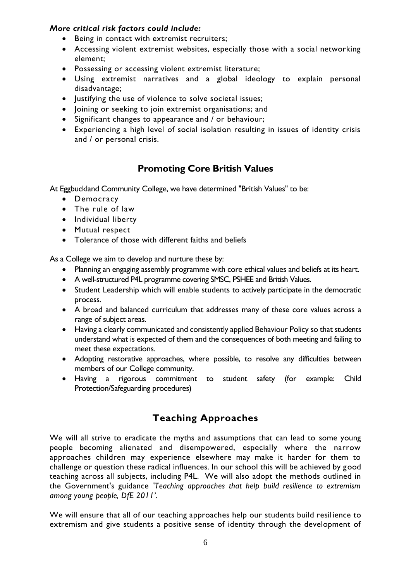#### *More critical risk factors could include:*

- Being in contact with extremist recruiters;
- Accessing violent extremist websites, especially those with a social networking element;
- Possessing or accessing violent extremist literature;
- Using extremist narratives and a global ideology to explain personal disadvantage;
- Justifying the use of violence to solve societal issues;
- Joining or seeking to join extremist organisations; and
- Significant changes to appearance and / or behaviour;
- Experiencing a high level of social isolation resulting in issues of identity crisis and / or personal crisis.

# **Promoting Core British Values**

At Eggbuckland Community College, we have determined "British Values" to be:

- Democracy
- The rule of law
- Individual liberty
- Mutual respect
- Tolerance of those with different faiths and beliefs

As a College we aim to develop and nurture these by:

- Planning an engaging assembly programme with core ethical values and beliefs at its heart.
- A well-structured P4L programme covering SMSC, PSHEE and British Values.
- Student Leadership which will enable students to actively participate in the democratic process.
- A broad and balanced curriculum that addresses many of these core values across a range of subject areas.
- Having a clearly communicated and consistently applied Behaviour Policy so that students understand what is expected of them and the consequences of both meeting and failing to meet these expectations.
- Adopting restorative approaches, where possible, to resolve any difficulties between members of our College community.
- Having a rigorous commitment to student safety (for example: Child Protection/Safeguarding procedures)

# **Teaching Approaches**

We will all strive to eradicate the myths and assumptions that can lead to some young people becoming alienated and disempowered, especially where the narrow approaches children may experience elsewhere may make it harder for them to challenge or question these radical influences. In our school this will be achieved by good teaching across all subjects, including P4L. We will also adopt the methods outlined in the Government's guidance *'Teaching approaches that help build resilience to extremism among young people, DfE 2011'*.

We will ensure that all of our teaching approaches help our students build resilience to extremism and give students a positive sense of identity through the development of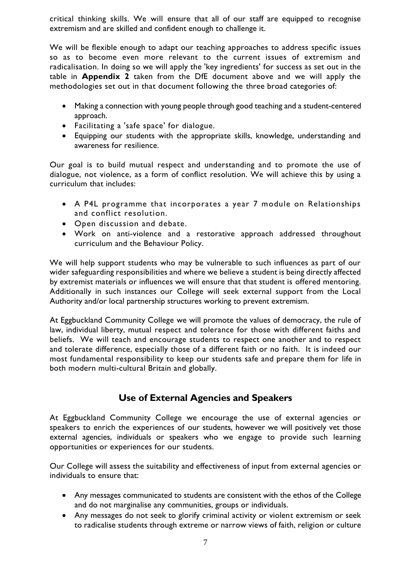critical thinking skills. We will ensure that all of our staff are equipped to recognise extremism and are skilled and confident enough to challenge it.

We will be flexible enough to adapt our teaching approaches to address specific issues so as to become even more relevant to the current issues of extremism and radicalisation. In doing so we will apply the 'key ingredients' for success as set out in the table in **Appendix 2** taken from the DfE document above and we will apply the methodologies set out in that document following the three broad categories of:

- Making a connection with young people through good teaching and a student-centered approach.
- Facilitating a 'safe space' for dialogue.
- Equipping our students with the appropriate skills, knowledge, understanding and awareness for resilience.

Our goal is to build mutual respect and understanding and to promote the use of dialogue, not violence, as a form of conflict resolution. We will achieve this by using a curriculum that includes:

- A P4L programme that incorporates a year 7 module on Relationships and conflict resolution.
- Open discussion and debate.
- Work on anti-violence and a restorative approach addressed throughout curriculum and the Behaviour Policy.

We will help support students who may be vulnerable to such influences as part of our wider safeguarding responsibilities and where we believe a student is being directly affected by extremist materials or influences we will ensure that that student is offered mentoring. Additionally in such instances our College will seek external support from the Local Authority and/or local partnership structures working to prevent extremism.

At Eggbuckland Community College we will promote the values of democracy, the rule of law, individual liberty, mutual respect and tolerance for those with different faiths and beliefs. We will teach and encourage students to respect one another and to respect and tolerate difference, especially those of a different faith or no faith. It is indeed our most fundamental responsibility to keep our students safe and prepare them for life in both modern multi-cultural Britain and globally.

## **Use of External Agencies and Speakers**

At Eggbuckland Community College we encourage the use of external agencies or speakers to enrich the experiences of our students, however we will positively vet those external agencies, individuals or speakers who we engage to provide such learning opportunities or experiences for our students.

Our College will assess the suitability and effectiveness of input from external agencies or individuals to ensure that:

- Any messages communicated to students are consistent with the ethos of the College and do not marginalise any communities, groups or individuals.
- Any messages do not seek to glorify criminal activity or violent extremism or seek to radicalise students through extreme or narrow views of faith, religion or culture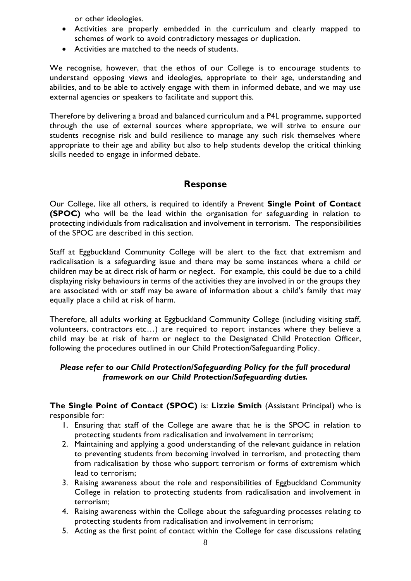or other ideologies.

- Activities are properly embedded in the curriculum and clearly mapped to schemes of work to avoid contradictory messages or duplication.
- Activities are matched to the needs of students.

We recognise, however, that the ethos of our College is to encourage students to understand opposing views and ideologies, appropriate to their age, understanding and abilities, and to be able to actively engage with them in informed debate, and we may use external agencies or speakers to facilitate and support this.

Therefore by delivering a broad and balanced curriculum and a P4L programme, supported through the use of external sources where appropriate, we will strive to ensure our students recognise risk and build resilience to manage any such risk themselves where appropriate to their age and ability but also to help students develop the critical thinking skills needed to engage in informed debate.

## **Response**

Our College, like all others, is required to identify a Prevent **Single Point of Contact (SPOC)** who will be the lead within the organisation for safeguarding in relation to protecting individuals from radicalisation and involvement in terrorism. The responsibilities of the SPOC are described in this section.

Staff at Eggbuckland Community College will be alert to the fact that extremism and radicalisation is a safeguarding issue and there may be some instances where a child or children may be at direct risk of harm or neglect. For example, this could be due to a child displaying risky behaviours in terms of the activities they are involved in or the groups they are associated with or staff may be aware of information about a child's family that may equally place a child at risk of harm.

Therefore, all adults working at Eggbuckland Community College (including visiting staff, volunteers, contractors etc…) are required to report instances where they believe a child may be at risk of harm or neglect to the Designated Child Protection Officer, following the procedures outlined in our Child Protection/Safeguarding Policy.

#### *Please refer to our Child Protection/Safeguarding Policy for the full procedural framework on our Child Protection/Safeguarding duties.*

**The Single Point of Contact (SPOC)** is: **Lizzie Smith** (Assistant Principal) who is responsible for:

- 1. Ensuring that staff of the College are aware that he is the SPOC in relation to protecting students from radicalisation and involvement in terrorism;
- 2. Maintaining and applying a good understanding of the relevant guidance in relation to preventing students from becoming involved in terrorism, and protecting them from radicalisation by those who support terrorism or forms of extremism which lead to terrorism;
- 3. Raising awareness about the role and responsibilities of Eggbuckland Community College in relation to protecting students from radicalisation and involvement in terrorism;
- 4. Raising awareness within the College about the safeguarding processes relating to protecting students from radicalisation and involvement in terrorism;
- 5. Acting as the first point of contact within the College for case discussions relating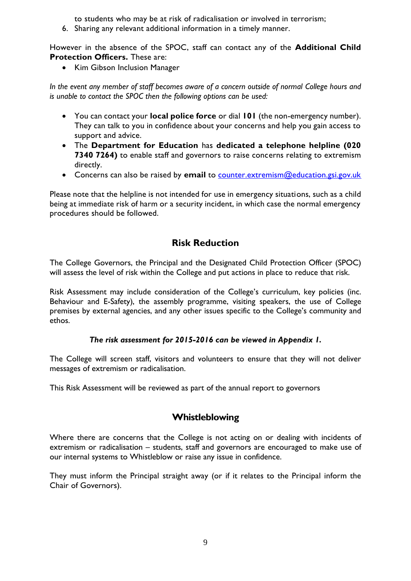to students who may be at risk of radicalisation or involved in terrorism;

6. Sharing any relevant additional information in a timely manner.

However in the absence of the SPOC, staff can contact any of the **Additional Child Protection Officers.** These are:

• Kim Gibson Inclusion Manager

In the event any member of staff becomes aware of a concern outside of normal College hours and *is unable to contact the SPOC then the following options can be used:*

- You can contact your **local police force** or dial **101** (the non-emergency number). They can talk to you in confidence about your concerns and help you gain access to support and advice.
- The **Department for Education** has **dedicated a telephone helpline (020 7340 7264)** to enable staff and governors to raise concerns relating to extremism directly.
- Concerns can also be raised by **email** to [counter.extremism@education.gsi.gov.uk](mailto:counter.extremism@education.gsi.gov.uk)

Please note that the helpline is not intended for use in emergency situations, such as a child being at immediate risk of harm or a security incident, in which case the normal emergency procedures should be followed.

## **Risk Reduction**

The College Governors, the Principal and the Designated Child Protection Officer (SPOC) will assess the level of risk within the College and put actions in place to reduce that risk.

Risk Assessment may include consideration of the College's curriculum, key policies (inc. Behaviour and E-Safety), the assembly programme, visiting speakers, the use of College premises by external agencies, and any other issues specific to the College's community and ethos.

#### *The risk assessment for 2015-2016 can be viewed in Appendix 1.*

The College will screen staff, visitors and volunteers to ensure that they will not deliver messages of extremism or radicalisation.

This Risk Assessment will be reviewed as part of the annual report to governors

## **Whistleblowing**

Where there are concerns that the College is not acting on or dealing with incidents of extremism or radicalisation – students, staff and governors are encouraged to make use of our internal systems to Whistleblow or raise any issue in confidence.

They must inform the Principal straight away (or if it relates to the Principal inform the Chair of Governors).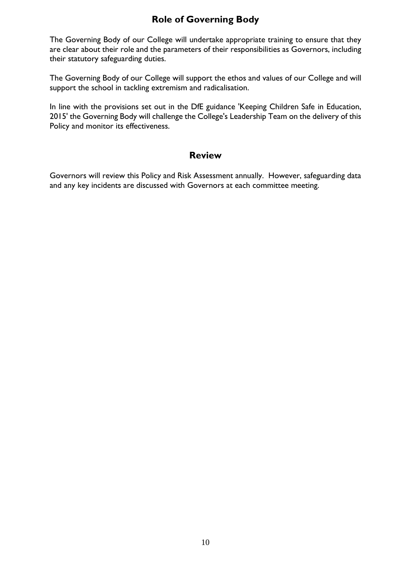# **Role of Governing Body**

The Governing Body of our College will undertake appropriate training to ensure that they are clear about their role and the parameters of their responsibilities as Governors, including their statutory safeguarding duties.

The Governing Body of our College will support the ethos and values of our College and will support the school in tackling extremism and radicalisation.

In line with the provisions set out in the DfE guidance 'Keeping Children Safe in Education, 2015' the Governing Body will challenge the College's Leadership Team on the delivery of this Policy and monitor its effectiveness.

#### **Review**

Governors will review this Policy and Risk Assessment annually. However, safeguarding data and any key incidents are discussed with Governors at each committee meeting.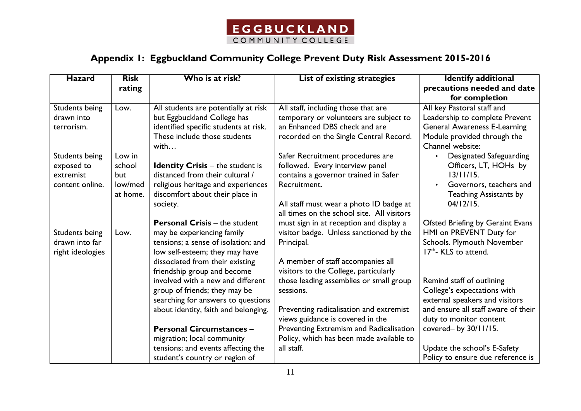

# **Appendix 1: Eggbuckland Community College Prevent Duty Risk Assessment 2015-2016**

| <b>Hazard</b>         | <b>Risk</b> | Who is at risk?                         | List of existing strategies                | <b>Identify additional</b>          |
|-----------------------|-------------|-----------------------------------------|--------------------------------------------|-------------------------------------|
|                       | rating      |                                         |                                            | precautions needed and date         |
|                       |             |                                         |                                            | for completion                      |
| Students being        | Low.        | All students are potentially at risk    | All staff, including those that are        | All key Pastoral staff and          |
| drawn into            |             | but Eggbuckland College has             | temporary or volunteers are subject to     | Leadership to complete Prevent      |
| terrorism.            |             | identified specific students at risk.   | an Enhanced DBS check and are              | <b>General Awareness E-Learning</b> |
|                       |             | These include those students            | recorded on the Single Central Record.     | Module provided through the         |
|                       |             | with                                    |                                            | Channel website:                    |
| <b>Students being</b> | Low in      |                                         | Safer Recruitment procedures are           | Designated Safeguarding             |
| exposed to            | school      | <b>Identity Crisis - the student is</b> | followed. Every interview panel            | Officers, LT, HOHs by               |
| extremist             | but         | distanced from their cultural /         | contains a governor trained in Safer       | 13/11/15.                           |
| content online.       | low/med     | religious heritage and experiences      | Recruitment.                               | Governors, teachers and             |
|                       | at home.    | discomfort about their place in         |                                            | <b>Teaching Assistants by</b>       |
|                       |             | society.                                | All staff must wear a photo ID badge at    | 04/12/15.                           |
|                       |             |                                         | all times on the school site. All visitors |                                     |
|                       |             | <b>Personal Crisis - the student</b>    | must sign in at reception and display a    | Ofsted Briefing by Geraint Evans    |
| <b>Students being</b> | Low.        | may be experiencing family              | visitor badge. Unless sanctioned by the    | HMI on PREVENT Duty for             |
| drawn into far        |             | tensions; a sense of isolation; and     | Principal.                                 | Schools. Plymouth November          |
| right ideologies      |             | low self-esteem; they may have          |                                            | 17 <sup>th</sup> - KLS to attend.   |
|                       |             | dissociated from their existing         | A member of staff accompanies all          |                                     |
|                       |             | friendship group and become             | visitors to the College, particularly      |                                     |
|                       |             | involved with a new and different       | those leading assemblies or small group    | Remind staff of outlining           |
|                       |             | group of friends; they may be           | sessions.                                  | College's expectations with         |
|                       |             | searching for answers to questions      |                                            | external speakers and visitors      |
|                       |             | about identity, faith and belonging.    | Preventing radicalisation and extremist    | and ensure all staff aware of their |
|                       |             |                                         | views guidance is covered in the           | duty to monitor content             |
|                       |             | <b>Personal Circumstances -</b>         | Preventing Extremism and Radicalisation    | covered- by 30/11/15.               |
|                       |             | migration; local community              | Policy, which has been made available to   |                                     |
|                       |             | tensions; and events affecting the      | all staff.                                 | Update the school's E-Safety        |
|                       |             | student's country or region of          |                                            | Policy to ensure due reference is   |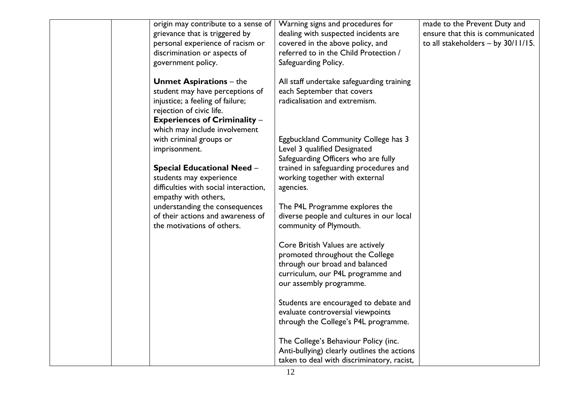| origin may contribute to a sense of   | Warning signs and procedures for            | made to the Prevent Duty and         |
|---------------------------------------|---------------------------------------------|--------------------------------------|
| grievance that is triggered by        | dealing with suspected incidents are        | ensure that this is communicated     |
| personal experience of racism or      | covered in the above policy, and            | to all stakeholders $-$ by 30/11/15. |
| discrimination or aspects of          | referred to in the Child Protection /       |                                      |
| government policy.                    | Safeguarding Policy.                        |                                      |
|                                       |                                             |                                      |
| <b>Unmet Aspirations - the</b>        | All staff undertake safeguarding training   |                                      |
| student may have perceptions of       | each September that covers                  |                                      |
| injustice; a feeling of failure;      | radicalisation and extremism.               |                                      |
| rejection of civic life.              |                                             |                                      |
| <b>Experiences of Criminality -</b>   |                                             |                                      |
| which may include involvement         |                                             |                                      |
| with criminal groups or               | Eggbuckland Community College has 3         |                                      |
| imprisonment.                         | Level 3 qualified Designated                |                                      |
|                                       | Safeguarding Officers who are fully         |                                      |
| <b>Special Educational Need -</b>     | trained in safeguarding procedures and      |                                      |
| students may experience               | working together with external              |                                      |
| difficulties with social interaction, | agencies.                                   |                                      |
| empathy with others,                  |                                             |                                      |
| understanding the consequences        | The P4L Programme explores the              |                                      |
| of their actions and awareness of     | diverse people and cultures in our local    |                                      |
| the motivations of others.            | community of Plymouth.                      |                                      |
|                                       |                                             |                                      |
|                                       | Core British Values are actively            |                                      |
|                                       | promoted throughout the College             |                                      |
|                                       | through our broad and balanced              |                                      |
|                                       | curriculum, our P4L programme and           |                                      |
|                                       | our assembly programme.                     |                                      |
|                                       |                                             |                                      |
|                                       | Students are encouraged to debate and       |                                      |
|                                       | evaluate controversial viewpoints           |                                      |
|                                       | through the College's P4L programme.        |                                      |
|                                       |                                             |                                      |
|                                       | The College's Behaviour Policy (inc.        |                                      |
|                                       | Anti-bullying) clearly outlines the actions |                                      |
|                                       | taken to deal with discriminatory, racist,  |                                      |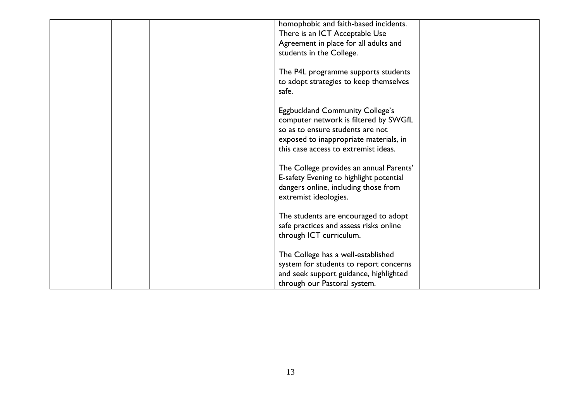|  | homophobic and faith-based incidents.   |  |
|--|-----------------------------------------|--|
|  | There is an ICT Acceptable Use          |  |
|  | Agreement in place for all adults and   |  |
|  | students in the College.                |  |
|  |                                         |  |
|  |                                         |  |
|  | The P4L programme supports students     |  |
|  | to adopt strategies to keep themselves  |  |
|  | safe.                                   |  |
|  |                                         |  |
|  | <b>Eggbuckland Community College's</b>  |  |
|  | computer network is filtered by SWGfL   |  |
|  | so as to ensure students are not        |  |
|  |                                         |  |
|  | exposed to inappropriate materials, in  |  |
|  | this case access to extremist ideas.    |  |
|  |                                         |  |
|  | The College provides an annual Parents' |  |
|  | E-safety Evening to highlight potential |  |
|  | dangers online, including those from    |  |
|  | extremist ideologies.                   |  |
|  |                                         |  |
|  |                                         |  |
|  | The students are encouraged to adopt    |  |
|  | safe practices and assess risks online  |  |
|  | through ICT curriculum.                 |  |
|  |                                         |  |
|  | The College has a well-established      |  |
|  | system for students to report concerns  |  |
|  |                                         |  |
|  | and seek support guidance, highlighted  |  |
|  | through our Pastoral system.            |  |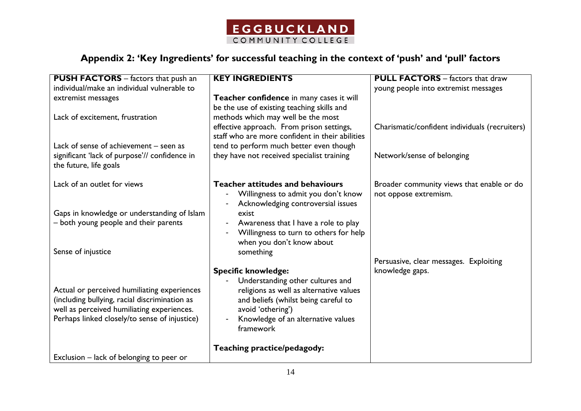

# **Appendix 2: 'Key Ingredients' for successful teaching in the context of 'push' and 'pull' factors**

| individual/make an individual vulnerable to<br>young people into extremist messages<br>Teacher confidence in many cases it will<br>extremist messages<br>be the use of existing teaching skills and<br>methods which may well be the most<br>Lack of excitement, frustration<br>effective approach. From prison settings,<br>Charismatic/confident individuals (recruiters)<br>staff who are more confident in their abilities<br>tend to perform much better even though<br>Lack of sense of achievement – seen as<br>they have not received specialist training<br>significant 'lack of purpose'// confidence in<br>Network/sense of belonging<br>the future, life goals<br>Lack of an outlet for views<br>Teacher attitudes and behaviours<br>Broader community views that enable or do<br>Willingness to admit you don't know<br>not oppose extremism.<br>Acknowledging controversial issues<br>Gaps in knowledge or understanding of Islam<br>exist<br>- both young people and their parents<br>Awareness that I have a role to play<br>$\overline{a}$<br>Willingness to turn to others for help<br>when you don't know about<br>Sense of injustice<br>something<br>Persuasive, clear messages. Exploiting<br>knowledge gaps.<br><b>Specific knowledge:</b><br>Understanding other cultures and<br>Actual or perceived humiliating experiences<br>religions as well as alternative values<br>(including bullying, racial discrimination as<br>and beliefs (whilst being careful to<br>well as perceived humiliating experiences.<br>avoid 'othering')<br>Perhaps linked closely/to sense of injustice)<br>Knowledge of an alternative values<br>framework<br>Teaching practice/pedagody: | <b>PUSH FACTORS</b> - factors that push an | <b>KEY INGREDIENTS</b> | <b>PULL FACTORS</b> – factors that draw |
|-----------------------------------------------------------------------------------------------------------------------------------------------------------------------------------------------------------------------------------------------------------------------------------------------------------------------------------------------------------------------------------------------------------------------------------------------------------------------------------------------------------------------------------------------------------------------------------------------------------------------------------------------------------------------------------------------------------------------------------------------------------------------------------------------------------------------------------------------------------------------------------------------------------------------------------------------------------------------------------------------------------------------------------------------------------------------------------------------------------------------------------------------------------------------------------------------------------------------------------------------------------------------------------------------------------------------------------------------------------------------------------------------------------------------------------------------------------------------------------------------------------------------------------------------------------------------------------------------------------------------------------------------------------------------------------------------|--------------------------------------------|------------------------|-----------------------------------------|
|                                                                                                                                                                                                                                                                                                                                                                                                                                                                                                                                                                                                                                                                                                                                                                                                                                                                                                                                                                                                                                                                                                                                                                                                                                                                                                                                                                                                                                                                                                                                                                                                                                                                                               |                                            |                        |                                         |
|                                                                                                                                                                                                                                                                                                                                                                                                                                                                                                                                                                                                                                                                                                                                                                                                                                                                                                                                                                                                                                                                                                                                                                                                                                                                                                                                                                                                                                                                                                                                                                                                                                                                                               |                                            |                        |                                         |
|                                                                                                                                                                                                                                                                                                                                                                                                                                                                                                                                                                                                                                                                                                                                                                                                                                                                                                                                                                                                                                                                                                                                                                                                                                                                                                                                                                                                                                                                                                                                                                                                                                                                                               |                                            |                        |                                         |
|                                                                                                                                                                                                                                                                                                                                                                                                                                                                                                                                                                                                                                                                                                                                                                                                                                                                                                                                                                                                                                                                                                                                                                                                                                                                                                                                                                                                                                                                                                                                                                                                                                                                                               |                                            |                        |                                         |
|                                                                                                                                                                                                                                                                                                                                                                                                                                                                                                                                                                                                                                                                                                                                                                                                                                                                                                                                                                                                                                                                                                                                                                                                                                                                                                                                                                                                                                                                                                                                                                                                                                                                                               |                                            |                        |                                         |
|                                                                                                                                                                                                                                                                                                                                                                                                                                                                                                                                                                                                                                                                                                                                                                                                                                                                                                                                                                                                                                                                                                                                                                                                                                                                                                                                                                                                                                                                                                                                                                                                                                                                                               |                                            |                        |                                         |
|                                                                                                                                                                                                                                                                                                                                                                                                                                                                                                                                                                                                                                                                                                                                                                                                                                                                                                                                                                                                                                                                                                                                                                                                                                                                                                                                                                                                                                                                                                                                                                                                                                                                                               |                                            |                        |                                         |
|                                                                                                                                                                                                                                                                                                                                                                                                                                                                                                                                                                                                                                                                                                                                                                                                                                                                                                                                                                                                                                                                                                                                                                                                                                                                                                                                                                                                                                                                                                                                                                                                                                                                                               |                                            |                        |                                         |
|                                                                                                                                                                                                                                                                                                                                                                                                                                                                                                                                                                                                                                                                                                                                                                                                                                                                                                                                                                                                                                                                                                                                                                                                                                                                                                                                                                                                                                                                                                                                                                                                                                                                                               |                                            |                        |                                         |
|                                                                                                                                                                                                                                                                                                                                                                                                                                                                                                                                                                                                                                                                                                                                                                                                                                                                                                                                                                                                                                                                                                                                                                                                                                                                                                                                                                                                                                                                                                                                                                                                                                                                                               |                                            |                        |                                         |
|                                                                                                                                                                                                                                                                                                                                                                                                                                                                                                                                                                                                                                                                                                                                                                                                                                                                                                                                                                                                                                                                                                                                                                                                                                                                                                                                                                                                                                                                                                                                                                                                                                                                                               |                                            |                        |                                         |
|                                                                                                                                                                                                                                                                                                                                                                                                                                                                                                                                                                                                                                                                                                                                                                                                                                                                                                                                                                                                                                                                                                                                                                                                                                                                                                                                                                                                                                                                                                                                                                                                                                                                                               |                                            |                        |                                         |
|                                                                                                                                                                                                                                                                                                                                                                                                                                                                                                                                                                                                                                                                                                                                                                                                                                                                                                                                                                                                                                                                                                                                                                                                                                                                                                                                                                                                                                                                                                                                                                                                                                                                                               |                                            |                        |                                         |
|                                                                                                                                                                                                                                                                                                                                                                                                                                                                                                                                                                                                                                                                                                                                                                                                                                                                                                                                                                                                                                                                                                                                                                                                                                                                                                                                                                                                                                                                                                                                                                                                                                                                                               |                                            |                        |                                         |
|                                                                                                                                                                                                                                                                                                                                                                                                                                                                                                                                                                                                                                                                                                                                                                                                                                                                                                                                                                                                                                                                                                                                                                                                                                                                                                                                                                                                                                                                                                                                                                                                                                                                                               |                                            |                        |                                         |
|                                                                                                                                                                                                                                                                                                                                                                                                                                                                                                                                                                                                                                                                                                                                                                                                                                                                                                                                                                                                                                                                                                                                                                                                                                                                                                                                                                                                                                                                                                                                                                                                                                                                                               |                                            |                        |                                         |
|                                                                                                                                                                                                                                                                                                                                                                                                                                                                                                                                                                                                                                                                                                                                                                                                                                                                                                                                                                                                                                                                                                                                                                                                                                                                                                                                                                                                                                                                                                                                                                                                                                                                                               |                                            |                        |                                         |
|                                                                                                                                                                                                                                                                                                                                                                                                                                                                                                                                                                                                                                                                                                                                                                                                                                                                                                                                                                                                                                                                                                                                                                                                                                                                                                                                                                                                                                                                                                                                                                                                                                                                                               |                                            |                        |                                         |
|                                                                                                                                                                                                                                                                                                                                                                                                                                                                                                                                                                                                                                                                                                                                                                                                                                                                                                                                                                                                                                                                                                                                                                                                                                                                                                                                                                                                                                                                                                                                                                                                                                                                                               |                                            |                        |                                         |
|                                                                                                                                                                                                                                                                                                                                                                                                                                                                                                                                                                                                                                                                                                                                                                                                                                                                                                                                                                                                                                                                                                                                                                                                                                                                                                                                                                                                                                                                                                                                                                                                                                                                                               |                                            |                        |                                         |
|                                                                                                                                                                                                                                                                                                                                                                                                                                                                                                                                                                                                                                                                                                                                                                                                                                                                                                                                                                                                                                                                                                                                                                                                                                                                                                                                                                                                                                                                                                                                                                                                                                                                                               |                                            |                        |                                         |
|                                                                                                                                                                                                                                                                                                                                                                                                                                                                                                                                                                                                                                                                                                                                                                                                                                                                                                                                                                                                                                                                                                                                                                                                                                                                                                                                                                                                                                                                                                                                                                                                                                                                                               |                                            |                        |                                         |
|                                                                                                                                                                                                                                                                                                                                                                                                                                                                                                                                                                                                                                                                                                                                                                                                                                                                                                                                                                                                                                                                                                                                                                                                                                                                                                                                                                                                                                                                                                                                                                                                                                                                                               |                                            |                        |                                         |
|                                                                                                                                                                                                                                                                                                                                                                                                                                                                                                                                                                                                                                                                                                                                                                                                                                                                                                                                                                                                                                                                                                                                                                                                                                                                                                                                                                                                                                                                                                                                                                                                                                                                                               |                                            |                        |                                         |
|                                                                                                                                                                                                                                                                                                                                                                                                                                                                                                                                                                                                                                                                                                                                                                                                                                                                                                                                                                                                                                                                                                                                                                                                                                                                                                                                                                                                                                                                                                                                                                                                                                                                                               |                                            |                        |                                         |
|                                                                                                                                                                                                                                                                                                                                                                                                                                                                                                                                                                                                                                                                                                                                                                                                                                                                                                                                                                                                                                                                                                                                                                                                                                                                                                                                                                                                                                                                                                                                                                                                                                                                                               |                                            |                        |                                         |
| Exclusion – lack of belonging to peer or                                                                                                                                                                                                                                                                                                                                                                                                                                                                                                                                                                                                                                                                                                                                                                                                                                                                                                                                                                                                                                                                                                                                                                                                                                                                                                                                                                                                                                                                                                                                                                                                                                                      |                                            |                        |                                         |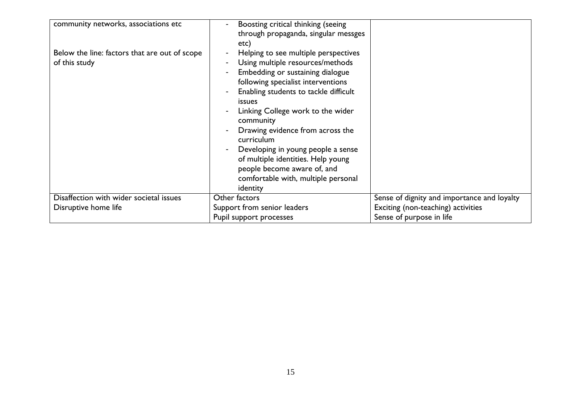| community networks, associations etc                           | Boosting critical thinking (seeing<br>through propaganda, singular messges<br>etc)                                                                                                                                                                                                                                                                                                                                                                                                                         |                                             |
|----------------------------------------------------------------|------------------------------------------------------------------------------------------------------------------------------------------------------------------------------------------------------------------------------------------------------------------------------------------------------------------------------------------------------------------------------------------------------------------------------------------------------------------------------------------------------------|---------------------------------------------|
| Below the line: factors that are out of scope<br>of this study | Helping to see multiple perspectives<br>Using multiple resources/methods<br>$\overline{\phantom{a}}$<br>Embedding or sustaining dialogue<br>following specialist interventions<br>Enabling students to tackle difficult<br><i>issues</i><br>Linking College work to the wider<br>community<br>Drawing evidence from across the<br>curriculum<br>Developing in young people a sense<br>of multiple identities. Help young<br>people become aware of, and<br>comfortable with, multiple personal<br>identity |                                             |
| Disaffection with wider societal issues                        | Other factors                                                                                                                                                                                                                                                                                                                                                                                                                                                                                              | Sense of dignity and importance and loyalty |
| Disruptive home life                                           | Support from senior leaders                                                                                                                                                                                                                                                                                                                                                                                                                                                                                | Exciting (non-teaching) activities          |
|                                                                | Pupil support processes                                                                                                                                                                                                                                                                                                                                                                                                                                                                                    | Sense of purpose in life                    |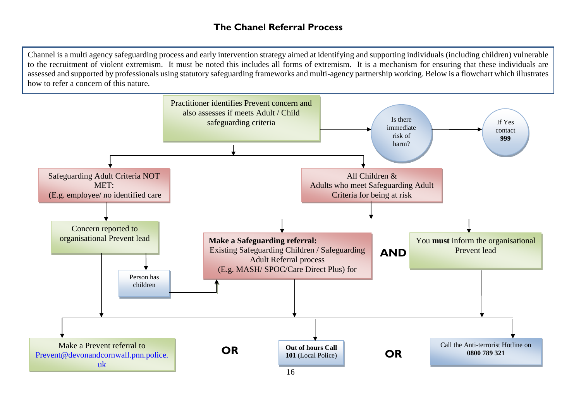## **The Chanel Referral Process**

Channel is a multi agency safeguarding process and early intervention strategy aimed at identifying and supporting individuals (including children) vulnerable to the recruitment of violent extremism. It must be noted this includes all forms of extremism. It is a mechanism for ensuring that these individuals are assessed and supported by professionals using statutory safeguarding frameworks and multi-agency partnership working. Below is a flowchart which illustrates how to refer a concern of this nature.